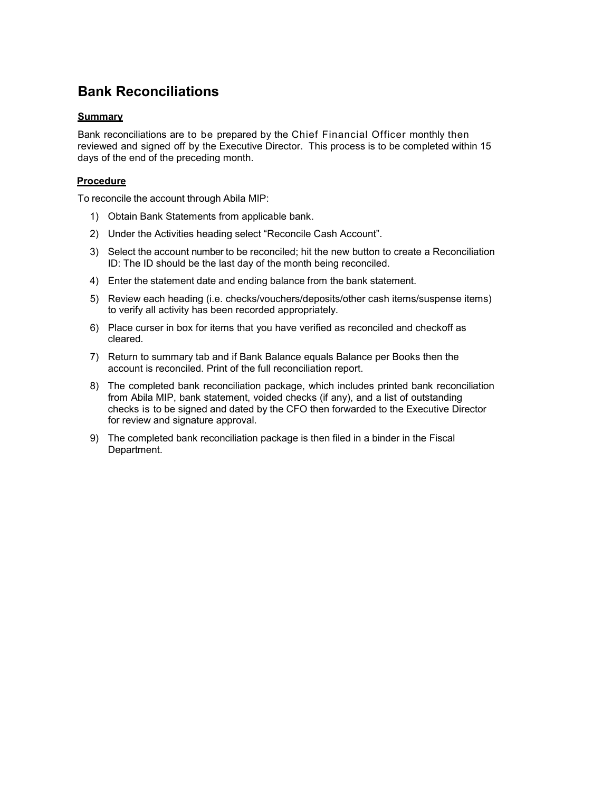# **Bank Reconciliations**

#### **Summary**

Bank reconciliations are to be prepared by the Chief Financial Officer monthly then reviewed and signed off by the Executive Director. This process is to be completed within 15 days of the end of the preceding month.

#### **Procedure**

To reconcile the account through Abila MIP:

- 1) Obtain Bank Statements from applicable bank.
- 2) Under the Activities heading select "Reconcile Cash Account".
- 3) Select the account number to be reconciled; hit the new button to create a Reconciliation ID: The ID should be the last day of the month being reconciled.
- 4) Enter the statement date and ending balance from the bank statement.
- 5) Review each heading (i.e. checks/vouchers/deposits/other cash items/suspense items) to verify all activity has been recorded appropriately.
- 6) Place curser in box for items that you have verified as reconciled and checkoff as cleared.
- 7) Return to summary tab and if Bank Balance equals Balance per Books then the account is reconciled. Print of the full reconciliation report.
- 8) The completed bank reconciliation package, which includes printed bank reconciliation from Abila MIP, bank statement, voided checks (if any), and a list of outstanding checks is to be signed and dated by the CFO then forwarded to the Executive Director for review and signature approval.
- 9) The completed bank reconciliation package is then filed in a binder in the Fiscal Department.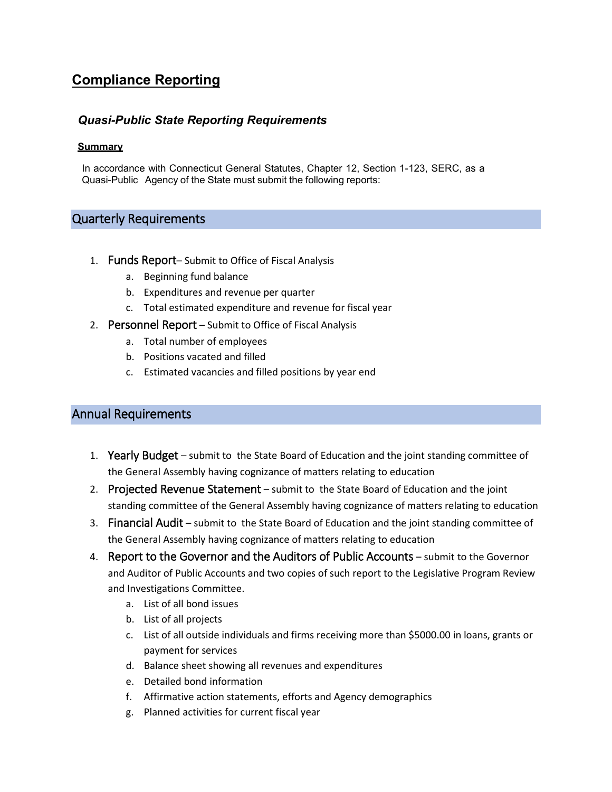# **Compliance Reporting**

#### *Quasi-Public State Reporting Requirements*

#### **Summary**

In accordance with Connecticut General Statutes, Chapter 12, Section 1-123, SERC, as a Quasi-Public Agency of the State must submit the following reports:

## Quarterly Requirements

- 1. Funds Report– Submit to Office of Fiscal Analysis
	- a. Beginning fund balance
	- b. Expenditures and revenue per quarter
	- c. Total estimated expenditure and revenue for fiscal year
- 2. Personnel Report Submit to Office of Fiscal Analysis
	- a. Total number of employees
	- b. Positions vacated and filled
	- c. Estimated vacancies and filled positions by year end

### Annual Requirements

- 1. Yearly Budget submit to the State Board of Education and the joint standing committee of the General Assembly having cognizance of matters relating to education
- 2. Projected Revenue Statement submit to the State Board of Education and the joint standing committee of the General Assembly having cognizance of matters relating to education
- 3. Financial Audit submit to the State Board of Education and the joint standing committee of the General Assembly having cognizance of matters relating to education
- 4. Report to the Governor and the Auditors of Public Accounts submit to the Governor and Auditor of Public Accounts and two copies of such report to the Legislative Program Review and Investigations Committee.
	- a. List of all bond issues
	- b. List of all projects
	- c. List of all outside individuals and firms receiving more than \$5000.00 in loans, grants or payment for services
	- d. Balance sheet showing all revenues and expenditures
	- e. Detailed bond information
	- f. Affirmative action statements, efforts and Agency demographics
	- g. Planned activities for current fiscal year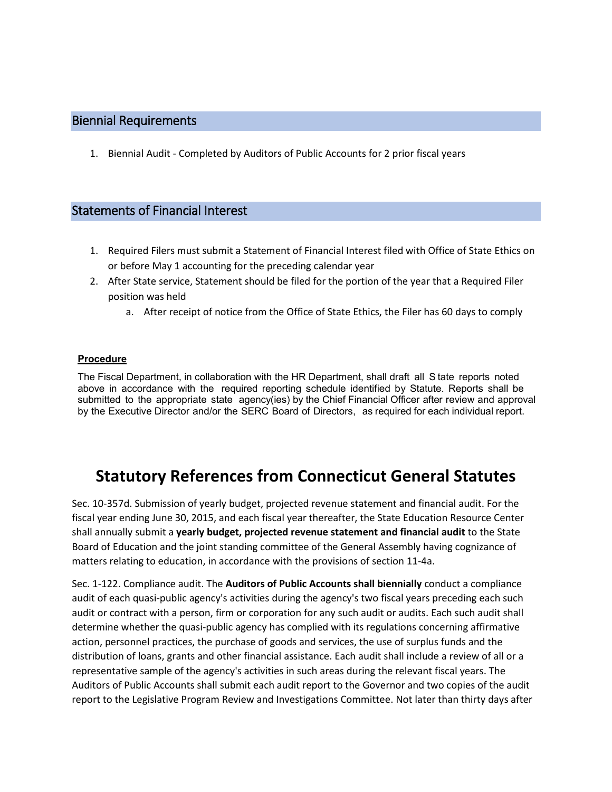## Biennial Requirements

1. Biennial Audit - Completed by Auditors of Public Accounts for 2 prior fiscal years

## Statements of Financial Interest

- 1. Required Filers must submit a Statement of Financial Interest filed with Office of State Ethics on or before May 1 accounting for the preceding calendar year
- 2. After State service, Statement should be filed for the portion of the year that a Required Filer position was held
	- a. After receipt of notice from the Office of State Ethics, the Filer has 60 days to comply

#### **Procedure**

The Fiscal Department, in collaboration with the HR Department, shall draft all S tate reports noted above in accordance with the required reporting schedule identified by Statute. Reports shall be submitted to the appropriate state agency(ies) by the Chief Financial Officer after review and approval by the Executive Director and/or the SERC Board of Directors, as required for each individual report.

# **Statutory References from Connecticut General Statutes**

Sec. 10-357d. Submission of yearly budget, projected revenue statement and financial audit. For the fiscal year ending June 30, 2015, and each fiscal year thereafter, the State Education Resource Center shall annually submit a **yearly budget, projected revenue statement and financial audit** to the State Board of Education and the joint standing committee of the General Assembly having cognizance of matters relating to education, in accordance with the provisions of section 11-4a.

Sec. 1-122. Compliance audit. The **Auditors of Public Accounts shall biennially** conduct a compliance audit of each quasi-public agency's activities during the agency's two fiscal years preceding each such audit or contract with a person, firm or corporation for any such audit or audits. Each such audit shall determine whether the quasi-public agency has complied with its regulations concerning affirmative action, personnel practices, the purchase of goods and services, the use of surplus funds and the distribution of loans, grants and other financial assistance. Each audit shall include a review of all or a representative sample of the agency's activities in such areas during the relevant fiscal years. The Auditors of Public Accounts shall submit each audit report to the Governor and two copies of the audit report to the Legislative Program Review and Investigations Committee. Not later than thirty days after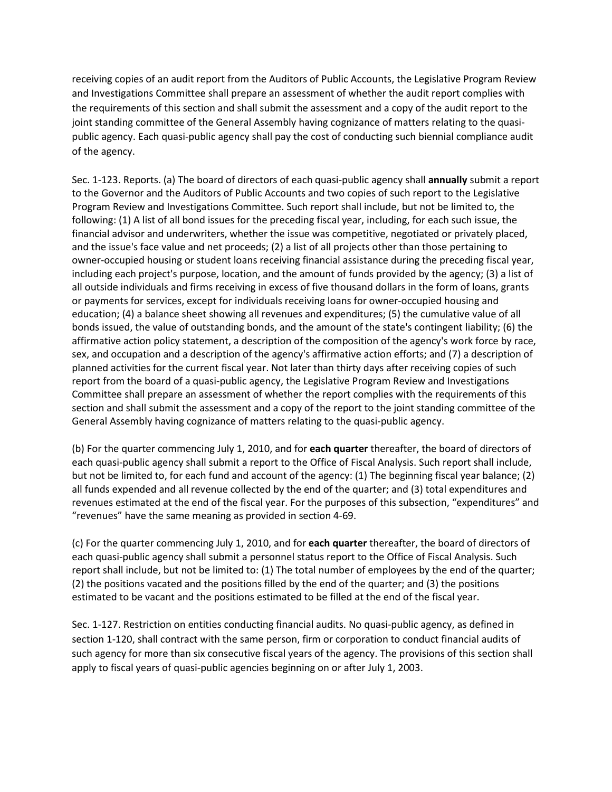receiving copies of an audit report from the Auditors of Public Accounts, the Legislative Program Review and Investigations Committee shall prepare an assessment of whether the audit report complies with the requirements of this section and shall submit the assessment and a copy of the audit report to the joint standing committee of the General Assembly having cognizance of matters relating to the quasipublic agency. Each quasi-public agency shall pay the cost of conducting such biennial compliance audit of the agency.

Sec. 1-123. Reports. (a) The board of directors of each quasi-public agency shall **annually** submit a report to the Governor and the Auditors of Public Accounts and two copies of such report to the Legislative Program Review and Investigations Committee. Such report shall include, but not be limited to, the following: (1) A list of all bond issues for the preceding fiscal year, including, for each such issue, the financial advisor and underwriters, whether the issue was competitive, negotiated or privately placed, and the issue's face value and net proceeds; (2) a list of all projects other than those pertaining to owner-occupied housing or student loans receiving financial assistance during the preceding fiscal year, including each project's purpose, location, and the amount of funds provided by the agency; (3) a list of all outside individuals and firms receiving in excess of five thousand dollars in the form of loans, grants or payments for services, except for individuals receiving loans for owner-occupied housing and education; (4) a balance sheet showing all revenues and expenditures; (5) the cumulative value of all bonds issued, the value of outstanding bonds, and the amount of the state's contingent liability; (6) the affirmative action policy statement, a description of the composition of the agency's work force by race, sex, and occupation and a description of the agency's affirmative action efforts; and (7) a description of planned activities for the current fiscal year. Not later than thirty days after receiving copies of such report from the board of a quasi-public agency, the Legislative Program Review and Investigations Committee shall prepare an assessment of whether the report complies with the requirements of this section and shall submit the assessment and a copy of the report to the joint standing committee of the General Assembly having cognizance of matters relating to the quasi-public agency.

(b) For the quarter commencing July 1, 2010, and for **each quarter** thereafter, the board of directors of each quasi-public agency shall submit a report to the Office of Fiscal Analysis. Such report shall include, but not be limited to, for each fund and account of the agency: (1) The beginning fiscal year balance; (2) all funds expended and all revenue collected by the end of the quarter; and (3) total expenditures and revenues estimated at the end of the fiscal year. For the purposes of this subsection, "expenditures" and "revenues" have the same meaning as provided in section 4-69.

(c) For the quarter commencing July 1, 2010, and for **each quarter** thereafter, the board of directors of each quasi-public agency shall submit a personnel status report to the Office of Fiscal Analysis. Such report shall include, but not be limited to: (1) The total number of employees by the end of the quarter; (2) the positions vacated and the positions filled by the end of the quarter; and (3) the positions estimated to be vacant and the positions estimated to be filled at the end of the fiscal year.

Sec. 1-127. Restriction on entities conducting financial audits. No quasi-public agency, as defined in section 1-120, shall contract with the same person, firm or corporation to conduct financial audits of such agency for more than six consecutive fiscal years of the agency. The provisions of this section shall apply to fiscal years of quasi-public agencies beginning on or after July 1, 2003.